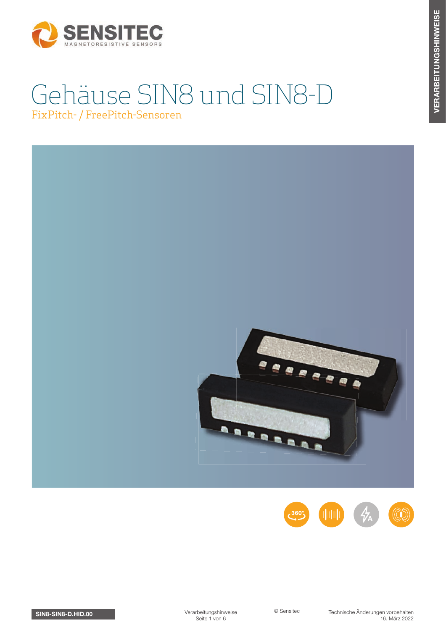

# Gehäuse SIN8 und SIN8-D FixPitch- / FreePitch-Sensoren



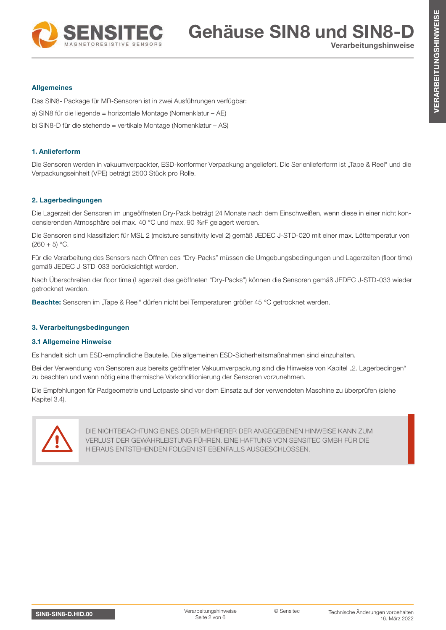

Gehäuse SIN8 und SIN8-

Verarbeitungshinweise

#### Allgemeines

Das SIN8- Package für MR-Sensoren ist in zwei Ausführungen verfügbar:

a) SIN8 für die liegende = horizontale Montage (Nomenklatur – AE)

b) SIN8-D für die stehende = vertikale Montage (Nomenklatur – AS)

# 1. Anlieferform

Die Sensoren werden in vakuumverpackter, ESD-konformer Verpackung angeliefert. Die Serienlieferform ist "Tape & Reel" und die Verpackungseinheit (VPE) beträgt 2500 Stück pro Rolle.

# 2. Lagerbedingungen

Die Lagerzeit der Sensoren im ungeöffneten Dry-Pack beträgt 24 Monate nach dem Einschweißen, wenn diese in einer nicht kondensierenden Atmosphäre bei max. 40 °C und max. 90 %rF gelagert werden.

Die Sensoren sind klassifiziert für MSL 2 (moisture sensitivity level 2) gemäß JEDEC J-STD-020 mit einer max. Löttemperatur von  $(260 + 5)$  °C.

Für die Verarbeitung des Sensors nach Öffnen des "Dry-Packs" müssen die Umgebungsbedingungen und Lagerzeiten (floor time) gemäß JEDEC J-STD-033 berücksichtigt werden.

Nach Überschreiten der floor time (Lagerzeit des geöffneten "Dry-Packs") können die Sensoren gemäß JEDEC J-STD-033 wieder getrocknet werden.

Beachte: Sensoren im "Tape & Reel" dürfen nicht bei Temperaturen größer 45 °C getrocknet werden.

#### 3. Verarbeitungsbedingungen

#### 3.1 Allgemeine Hinweise

Es handelt sich um ESD-empfindliche Bauteile. Die allgemeinen ESD-Sicherheitsmaßnahmen sind einzuhalten.

Bei der Verwendung von Sensoren aus bereits geöffneter Vakuumverpackung sind die Hinweise von Kapitel "2. Lagerbedingen" zu beachten und wenn nötig eine thermische Vorkonditionierung der Sensoren vorzunehmen.

Die Empfehlungen für Padgeometrie und Lotpaste sind vor dem Einsatz auf der verwendeten Maschine zu überprüfen (siehe Kapitel 3.4).



DIE NICHTBEACHTUNG EINES ODER MEHRERER DER ANGEGEBENEN HINWEISE KANN ZUM VERLUST DER GEWÄHRLEISTUNG FÜHREN. EINE HAFTUNG VON SENSITEC GMBH FÜR DIE HIERAUS ENTSTEHENDEN FOLGEN IST EBENFALLS AUSGESCHLOSSEN.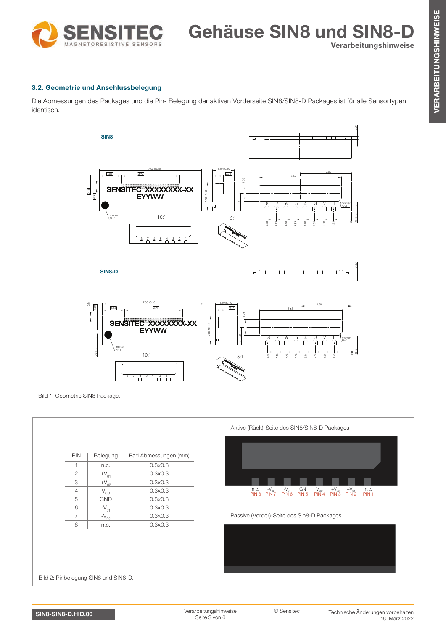

Gehäuse SIN8 und SIN8-D Verarbeitungshinweise

# 3.2. Geometrie und Anschlussbelegung

Die Abmessungen des Packages und die Pin- Belegung der aktiven Vorderseite SIN8/SIN8-D Packages ist für alle Sensortypen identisch.



| <b>PIN</b>     | Belegung     | Pad Abmessungen (mm) |                                                                                                                                                                                    |
|----------------|--------------|----------------------|------------------------------------------------------------------------------------------------------------------------------------------------------------------------------------|
|                | n.c.         | 0.3x0.3              |                                                                                                                                                                                    |
| $\overline{c}$ | $+V_{01}$    | 0.3x0.3              |                                                                                                                                                                                    |
| 3              | $+V_{02}$    | 0.3x0.3              |                                                                                                                                                                                    |
| 4              | $V_{\rm CC}$ | 0.3x0.3              | n.c. $-V_{02}$<br>PIN 8 PIN 7<br>$+V_{01}$<br>$-V_{01}$<br>GN<br>PIN 5<br>$\frac{V_{\rm CC}}{PIN4}$<br>$+V_{02}$<br>PIN 3<br>n.c.<br>PIN <sub>6</sub><br>PIN <sub>1</sub><br>PIN 2 |
| 5              | <b>GND</b>   | 0.3x0.3              |                                                                                                                                                                                    |
| 6              | $-V_{01}$    | 0.3x0.3              |                                                                                                                                                                                    |
| $\overline{7}$ | $-V_{02}$    | 0.3x0.3              | Passive (Vorder)-Seite des Sin8-D Packages                                                                                                                                         |
| 8              | n.c.         | 0.3x0.3              |                                                                                                                                                                                    |
|                |              |                      |                                                                                                                                                                                    |
|                |              |                      |                                                                                                                                                                                    |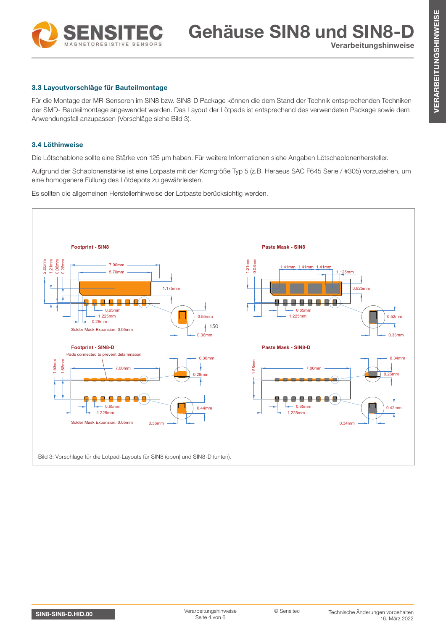

# 3.3 Layoutvorschläge für Bauteilmontage

Für die Montage der MR-Sensoren im SIN8 bzw. SIN8-D Package können die dem Stand der Technik entsprechenden Techniken der SMD- Bauteilmontage angewendet werden. Das Layout der Lötpads ist entsprechend des verwendeten Package sowie dem Anwendungsfall anzupassen (Vorschläge siehe Bild 3).

# 3.4 Löthinweise

Die Lötschablone sollte eine Stärke von 125 µm haben. Für weitere Informationen siehe Angaben Lötschablonenhersteller.

Aufgrund der Schablonenstärke ist eine Lotpaste mit der Korngröße Typ 5 (z.B. Heraeus SAC F645 Serie / #305) vorzuziehen, um eine homogenere Füllung des Lötdepots zu gewährleisten.

Es sollten die allgemeinen Herstellerhinweise der Lotpaste berücksichtig werden.

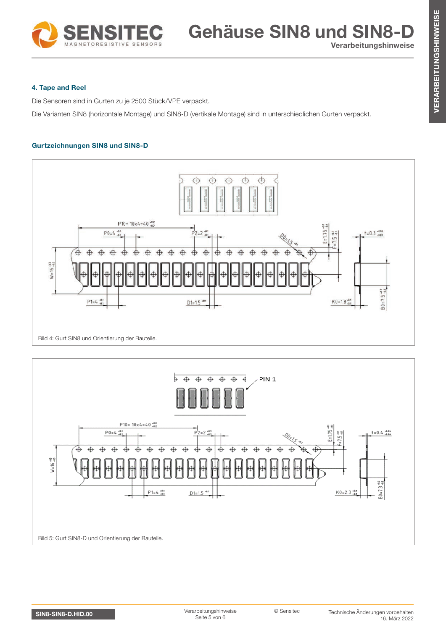

Gehäuse SIN8 und SIN8-Verarbeitungshinweise

#### 4. Tape and Reel

Die Sensoren sind in Gurten zu je 2500 Stück/VPE verpackt.

Die Varianten SIN8 (horizontale Montage) und SIN8-D (vertikale Montage) sind in unterschiedlichen Gurten verpackt.

#### Gurtzeichnungen SIN8 und SIN8-D